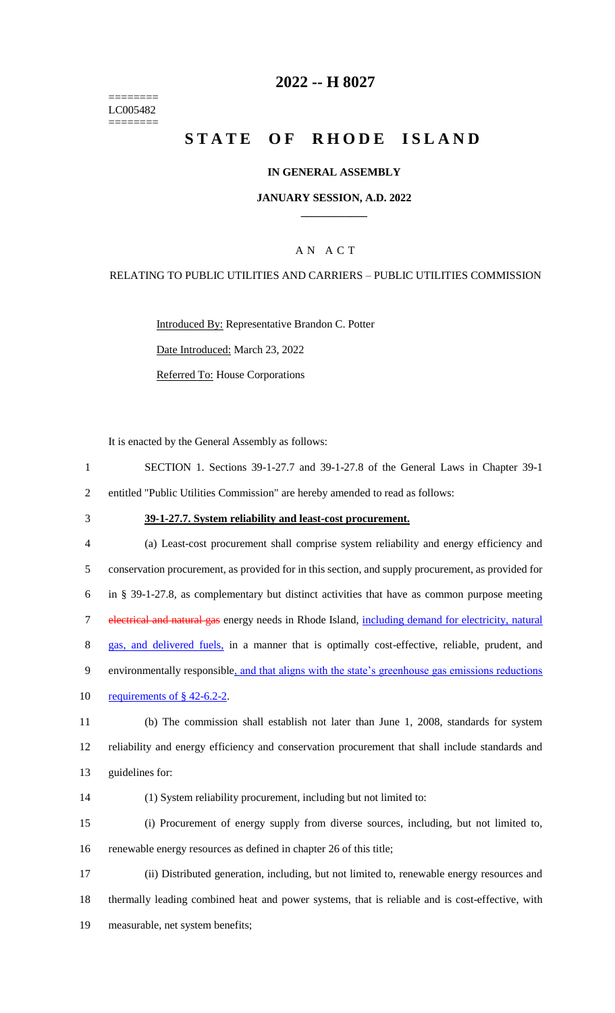======== LC005482 ========

### **2022 -- H 8027**

# **STATE OF RHODE ISLAND**

### **IN GENERAL ASSEMBLY**

### **JANUARY SESSION, A.D. 2022 \_\_\_\_\_\_\_\_\_\_\_\_**

### A N A C T

### RELATING TO PUBLIC UTILITIES AND CARRIERS – PUBLIC UTILITIES COMMISSION

Introduced By: Representative Brandon C. Potter Date Introduced: March 23, 2022 Referred To: House Corporations

It is enacted by the General Assembly as follows:

1 SECTION 1. Sections 39-1-27.7 and 39-1-27.8 of the General Laws in Chapter 39-1 2 entitled "Public Utilities Commission" are hereby amended to read as follows:

#### 3 **39-1-27.7. System reliability and least-cost procurement.**

4 (a) Least-cost procurement shall comprise system reliability and energy efficiency and 5 conservation procurement, as provided for in this section, and supply procurement, as provided for 6 in § 39-1-27.8, as complementary but distinct activities that have as common purpose meeting 7 electrical and natural gas energy needs in Rhode Island, including demand for electricity, natural 8 gas, and delivered fuels, in a manner that is optimally cost-effective, reliable, prudent, and 9 environmentally responsible, and that aligns with the state's greenhouse gas emissions reductions 10 requirements of  $\S$  42-6.2-2.

11 (b) The commission shall establish not later than June 1, 2008, standards for system 12 reliability and energy efficiency and conservation procurement that shall include standards and 13 guidelines for:

14 (1) System reliability procurement, including but not limited to:

15 (i) Procurement of energy supply from diverse sources, including, but not limited to, 16 renewable energy resources as defined in chapter 26 of this title;

17 (ii) Distributed generation, including, but not limited to, renewable energy resources and 18 thermally leading combined heat and power systems, that is reliable and is cost-effective, with 19 measurable, net system benefits;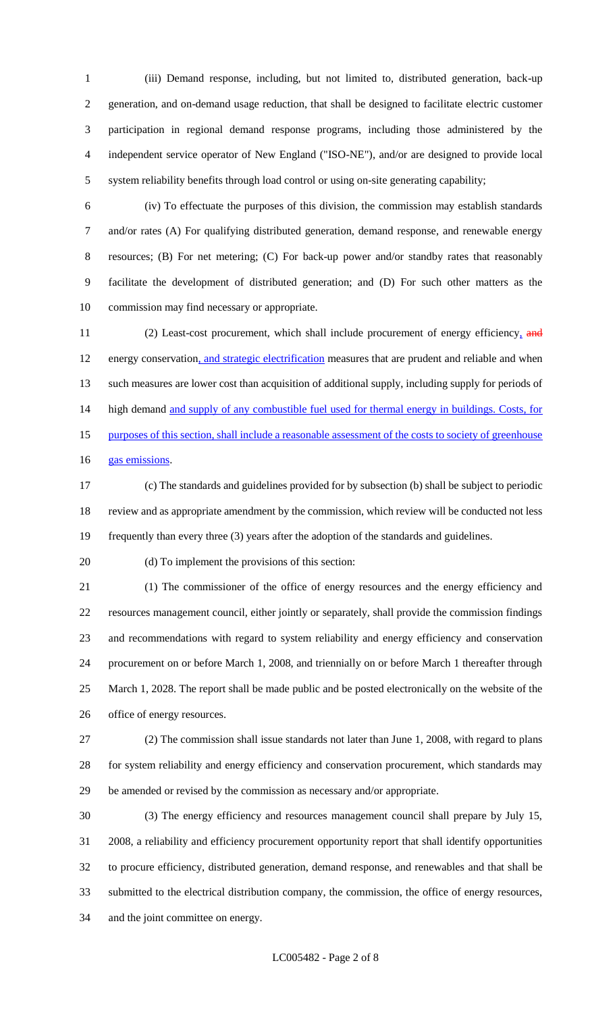(iii) Demand response, including, but not limited to, distributed generation, back-up generation, and on-demand usage reduction, that shall be designed to facilitate electric customer participation in regional demand response programs, including those administered by the independent service operator of New England ("ISO-NE"), and/or are designed to provide local system reliability benefits through load control or using on-site generating capability;

 (iv) To effectuate the purposes of this division, the commission may establish standards and/or rates (A) For qualifying distributed generation, demand response, and renewable energy resources; (B) For net metering; (C) For back-up power and/or standby rates that reasonably facilitate the development of distributed generation; and (D) For such other matters as the commission may find necessary or appropriate.

11 (2) Least-cost procurement, which shall include procurement of energy efficiency, and energy conservation, and strategic electrification measures that are prudent and reliable and when such measures are lower cost than acquisition of additional supply, including supply for periods of 14 high demand and supply of any combustible fuel used for thermal energy in buildings. Costs, for 15 purposes of this section, shall include a reasonable assessment of the costs to society of greenhouse 16 gas emissions.

 (c) The standards and guidelines provided for by subsection (b) shall be subject to periodic review and as appropriate amendment by the commission, which review will be conducted not less frequently than every three (3) years after the adoption of the standards and guidelines.

(d) To implement the provisions of this section:

 (1) The commissioner of the office of energy resources and the energy efficiency and resources management council, either jointly or separately, shall provide the commission findings and recommendations with regard to system reliability and energy efficiency and conservation procurement on or before March 1, 2008, and triennially on or before March 1 thereafter through March 1, 2028. The report shall be made public and be posted electronically on the website of the office of energy resources.

 (2) The commission shall issue standards not later than June 1, 2008, with regard to plans for system reliability and energy efficiency and conservation procurement, which standards may be amended or revised by the commission as necessary and/or appropriate.

 (3) The energy efficiency and resources management council shall prepare by July 15, 2008, a reliability and efficiency procurement opportunity report that shall identify opportunities to procure efficiency, distributed generation, demand response, and renewables and that shall be submitted to the electrical distribution company, the commission, the office of energy resources, and the joint committee on energy.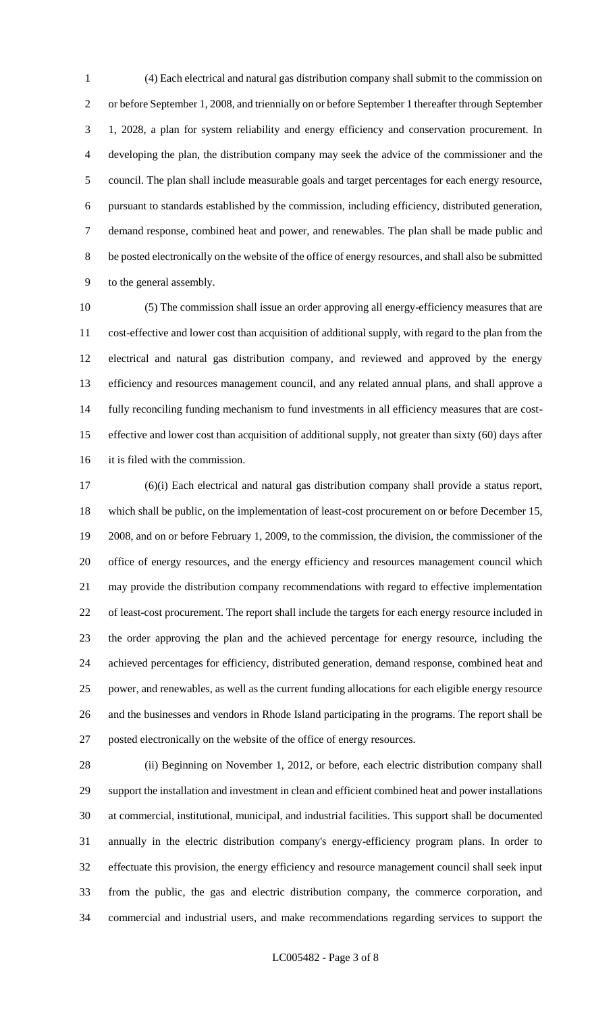(4) Each electrical and natural gas distribution company shall submit to the commission on or before September 1, 2008, and triennially on or before September 1 thereafter through September 1, 2028, a plan for system reliability and energy efficiency and conservation procurement. In developing the plan, the distribution company may seek the advice of the commissioner and the council. The plan shall include measurable goals and target percentages for each energy resource, pursuant to standards established by the commission, including efficiency, distributed generation, demand response, combined heat and power, and renewables. The plan shall be made public and be posted electronically on the website of the office of energy resources, and shall also be submitted to the general assembly.

 (5) The commission shall issue an order approving all energy-efficiency measures that are cost-effective and lower cost than acquisition of additional supply, with regard to the plan from the electrical and natural gas distribution company, and reviewed and approved by the energy efficiency and resources management council, and any related annual plans, and shall approve a fully reconciling funding mechanism to fund investments in all efficiency measures that are cost- effective and lower cost than acquisition of additional supply, not greater than sixty (60) days after it is filed with the commission.

 (6)(i) Each electrical and natural gas distribution company shall provide a status report, which shall be public, on the implementation of least-cost procurement on or before December 15, 2008, and on or before February 1, 2009, to the commission, the division, the commissioner of the office of energy resources, and the energy efficiency and resources management council which may provide the distribution company recommendations with regard to effective implementation of least-cost procurement. The report shall include the targets for each energy resource included in the order approving the plan and the achieved percentage for energy resource, including the achieved percentages for efficiency, distributed generation, demand response, combined heat and power, and renewables, as well as the current funding allocations for each eligible energy resource and the businesses and vendors in Rhode Island participating in the programs. The report shall be posted electronically on the website of the office of energy resources.

 (ii) Beginning on November 1, 2012, or before, each electric distribution company shall support the installation and investment in clean and efficient combined heat and power installations at commercial, institutional, municipal, and industrial facilities. This support shall be documented annually in the electric distribution company's energy-efficiency program plans. In order to effectuate this provision, the energy efficiency and resource management council shall seek input from the public, the gas and electric distribution company, the commerce corporation, and commercial and industrial users, and make recommendations regarding services to support the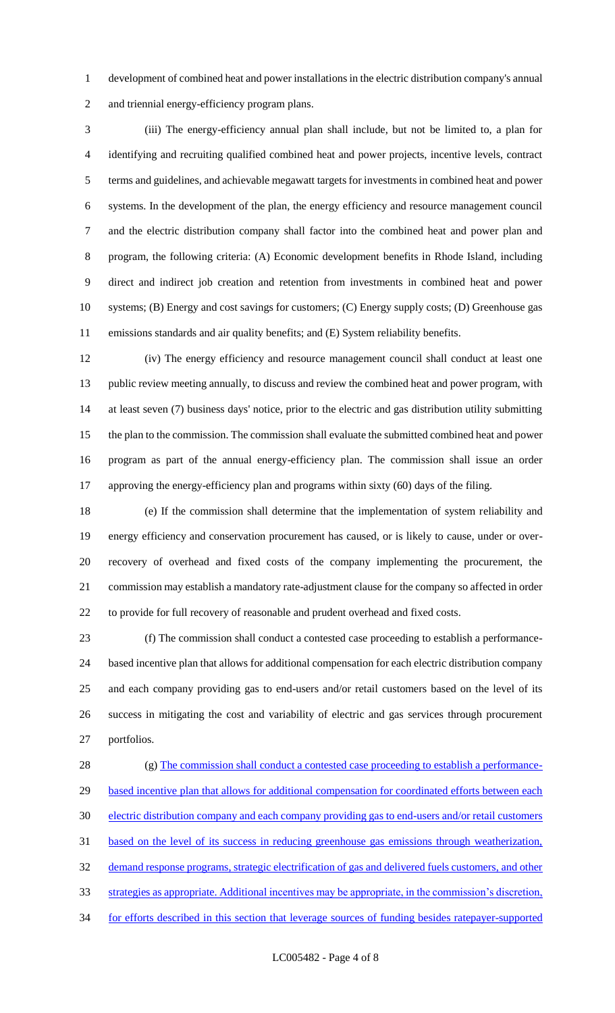development of combined heat and power installations in the electric distribution company's annual and triennial energy-efficiency program plans.

 (iii) The energy-efficiency annual plan shall include, but not be limited to, a plan for identifying and recruiting qualified combined heat and power projects, incentive levels, contract terms and guidelines, and achievable megawatt targets for investments in combined heat and power systems. In the development of the plan, the energy efficiency and resource management council and the electric distribution company shall factor into the combined heat and power plan and program, the following criteria: (A) Economic development benefits in Rhode Island, including direct and indirect job creation and retention from investments in combined heat and power systems; (B) Energy and cost savings for customers; (C) Energy supply costs; (D) Greenhouse gas emissions standards and air quality benefits; and (E) System reliability benefits.

 (iv) The energy efficiency and resource management council shall conduct at least one public review meeting annually, to discuss and review the combined heat and power program, with at least seven (7) business days' notice, prior to the electric and gas distribution utility submitting the plan to the commission. The commission shall evaluate the submitted combined heat and power program as part of the annual energy-efficiency plan. The commission shall issue an order approving the energy-efficiency plan and programs within sixty (60) days of the filing.

 (e) If the commission shall determine that the implementation of system reliability and energy efficiency and conservation procurement has caused, or is likely to cause, under or over- recovery of overhead and fixed costs of the company implementing the procurement, the commission may establish a mandatory rate-adjustment clause for the company so affected in order to provide for full recovery of reasonable and prudent overhead and fixed costs.

 (f) The commission shall conduct a contested case proceeding to establish a performance- based incentive plan that allows for additional compensation for each electric distribution company and each company providing gas to end-users and/or retail customers based on the level of its success in mitigating the cost and variability of electric and gas services through procurement portfolios.

28 (g) The commission shall conduct a contested case proceeding to establish a performance-29 based incentive plan that allows for additional compensation for coordinated efforts between each electric distribution company and each company providing gas to end-users and/or retail customers based on the level of its success in reducing greenhouse gas emissions through weatherization, demand response programs, strategic electrification of gas and delivered fuels customers, and other strategies as appropriate. Additional incentives may be appropriate, in the commission's discretion, for efforts described in this section that leverage sources of funding besides ratepayer-supported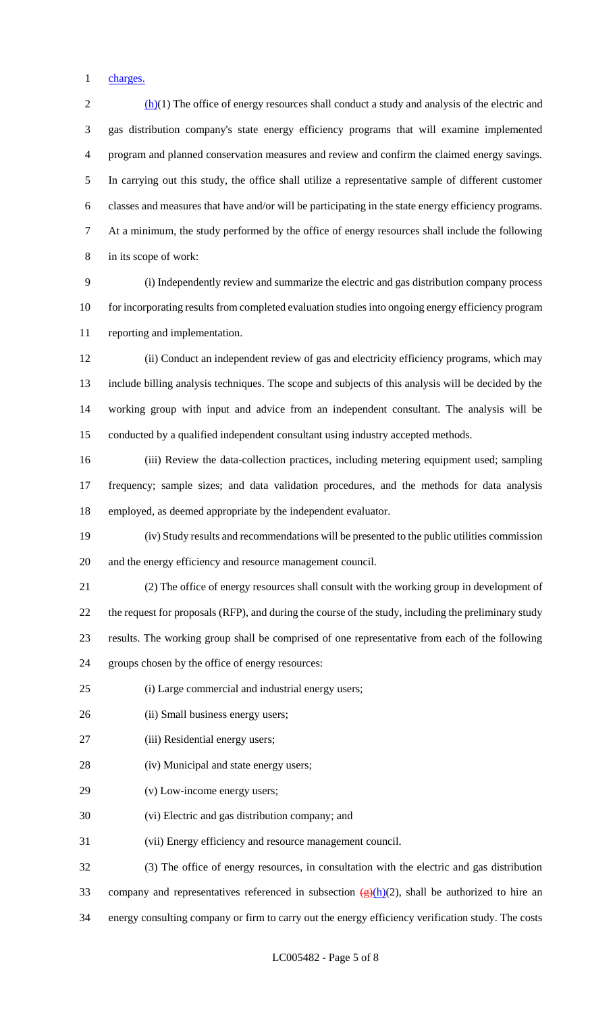charges.

 $2 \frac{(h)(1)}{h}$  The office of energy resources shall conduct a study and analysis of the electric and gas distribution company's state energy efficiency programs that will examine implemented program and planned conservation measures and review and confirm the claimed energy savings. In carrying out this study, the office shall utilize a representative sample of different customer classes and measures that have and/or will be participating in the state energy efficiency programs. At a minimum, the study performed by the office of energy resources shall include the following in its scope of work: (i) Independently review and summarize the electric and gas distribution company process for incorporating results from completed evaluation studies into ongoing energy efficiency program reporting and implementation. (ii) Conduct an independent review of gas and electricity efficiency programs, which may include billing analysis techniques. The scope and subjects of this analysis will be decided by the working group with input and advice from an independent consultant. The analysis will be conducted by a qualified independent consultant using industry accepted methods.

 (iii) Review the data-collection practices, including metering equipment used; sampling frequency; sample sizes; and data validation procedures, and the methods for data analysis employed, as deemed appropriate by the independent evaluator.

 (iv) Study results and recommendations will be presented to the public utilities commission and the energy efficiency and resource management council.

 (2) The office of energy resources shall consult with the working group in development of the request for proposals (RFP), and during the course of the study, including the preliminary study results. The working group shall be comprised of one representative from each of the following groups chosen by the office of energy resources:

(i) Large commercial and industrial energy users;

- 26 (ii) Small business energy users;
- (iii) Residential energy users;
- (iv) Municipal and state energy users;
- (v) Low-income energy users;
- (vi) Electric and gas distribution company; and
- (vii) Energy efficiency and resource management council.

 (3) The office of energy resources, in consultation with the electric and gas distribution 33 company and representatives referenced in subsection  $\frac{g(h)}{2}$ , shall be authorized to hire an energy consulting company or firm to carry out the energy efficiency verification study. The costs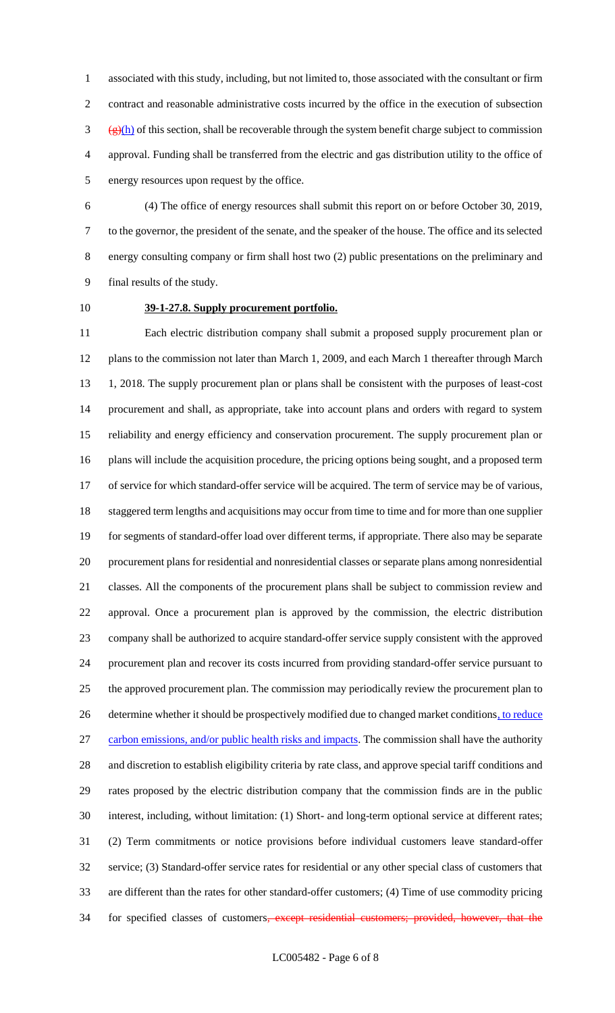associated with this study, including, but not limited to, those associated with the consultant or firm contract and reasonable administrative costs incurred by the office in the execution of subsection  $\frac{g(h)}{h}$  of this section, shall be recoverable through the system benefit charge subject to commission approval. Funding shall be transferred from the electric and gas distribution utility to the office of energy resources upon request by the office.

 (4) The office of energy resources shall submit this report on or before October 30, 2019, to the governor, the president of the senate, and the speaker of the house. The office and its selected energy consulting company or firm shall host two (2) public presentations on the preliminary and final results of the study.

### **39-1-27.8. Supply procurement portfolio.**

 Each electric distribution company shall submit a proposed supply procurement plan or plans to the commission not later than March 1, 2009, and each March 1 thereafter through March 1, 2018. The supply procurement plan or plans shall be consistent with the purposes of least-cost procurement and shall, as appropriate, take into account plans and orders with regard to system reliability and energy efficiency and conservation procurement. The supply procurement plan or plans will include the acquisition procedure, the pricing options being sought, and a proposed term of service for which standard-offer service will be acquired. The term of service may be of various, 18 staggered term lengths and acquisitions may occur from time to time and for more than one supplier for segments of standard-offer load over different terms, if appropriate. There also may be separate procurement plans for residential and nonresidential classes or separate plans among nonresidential classes. All the components of the procurement plans shall be subject to commission review and approval. Once a procurement plan is approved by the commission, the electric distribution company shall be authorized to acquire standard-offer service supply consistent with the approved procurement plan and recover its costs incurred from providing standard-offer service pursuant to the approved procurement plan. The commission may periodically review the procurement plan to 26 determine whether it should be prospectively modified due to changed market conditions, to reduce 27 carbon emissions, and/or public health risks and impacts. The commission shall have the authority and discretion to establish eligibility criteria by rate class, and approve special tariff conditions and rates proposed by the electric distribution company that the commission finds are in the public interest, including, without limitation: (1) Short- and long-term optional service at different rates; (2) Term commitments or notice provisions before individual customers leave standard-offer service; (3) Standard-offer service rates for residential or any other special class of customers that are different than the rates for other standard-offer customers; (4) Time of use commodity pricing 34 for specified classes of customers<del>, except residential customers; provided, however, that the</del>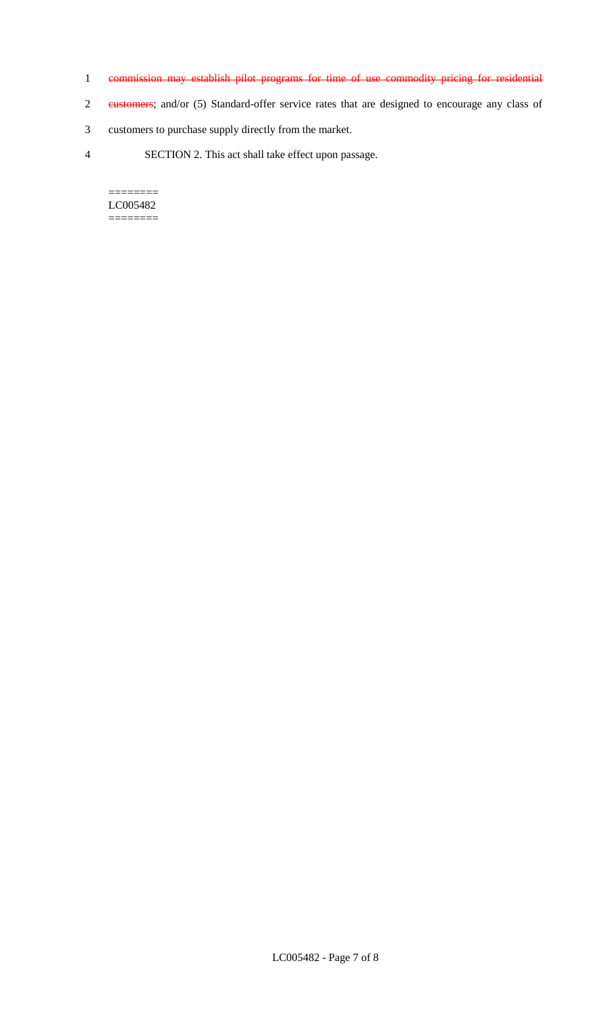- 1 commission may establish pilot programs for time of use commodity pricing for residential
- 2 customers; and/or (5) Standard-offer service rates that are designed to encourage any class of
- 3 customers to purchase supply directly from the market.
- 4 SECTION 2. This act shall take effect upon passage.

======== LC005482  $=$